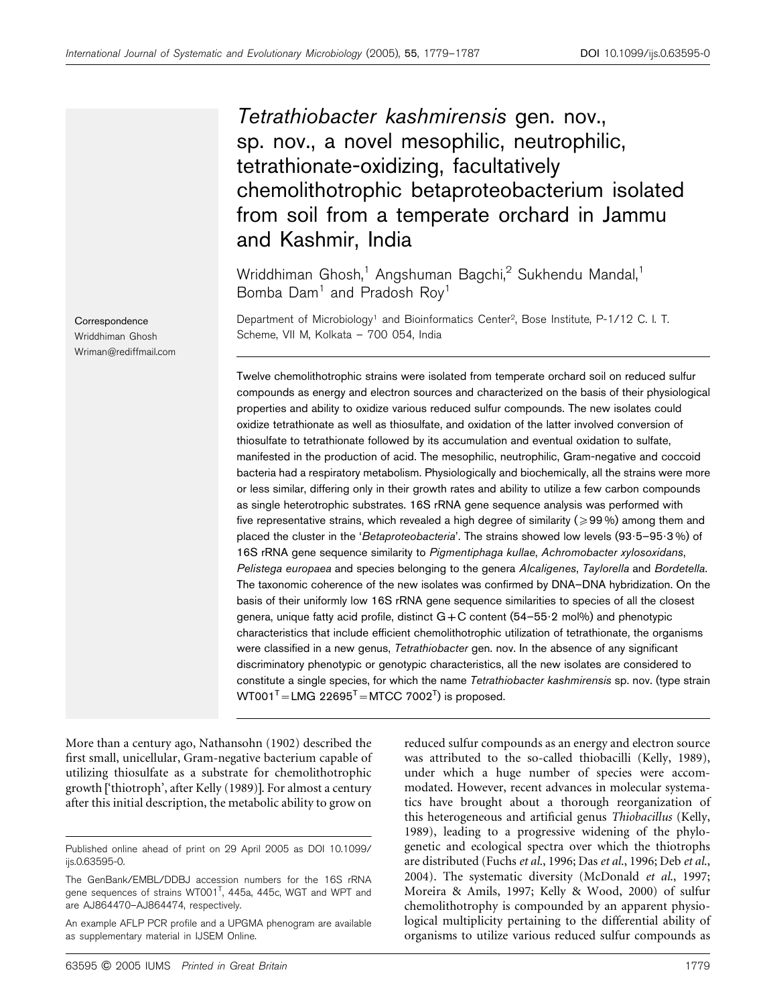Tetrathiobacter kashmirensis gen. nov., sp. nov., a novel mesophilic, neutrophilic, tetrathionate-oxidizing, facultatively chemolithotrophic betaproteobacterium isolated from soil from a temperate orchard in Jammu and Kashmir, India

Wriddhiman Ghosh,<sup>1</sup> Angshuman Bagchi,<sup>2</sup> Sukhendu Mandal,<sup>1</sup> Bomba Dam<sup>1</sup> and Pradosh Roy<sup>1</sup>

Department of Microbiology<sup>1</sup> and Bioinformatics Center<sup>2</sup>, Bose Institute, P-1/12 C. I. T. Scheme, VII M, Kolkata – 700 054, India

Twelve chemolithotrophic strains were isolated from temperate orchard soil on reduced sulfur compounds as energy and electron sources and characterized on the basis of their physiological properties and ability to oxidize various reduced sulfur compounds. The new isolates could oxidize tetrathionate as well as thiosulfate, and oxidation of the latter involved conversion of thiosulfate to tetrathionate followed by its accumulation and eventual oxidation to sulfate, manifested in the production of acid. The mesophilic, neutrophilic, Gram-negative and coccoid bacteria had a respiratory metabolism. Physiologically and biochemically, all the strains were more or less similar, differing only in their growth rates and ability to utilize a few carbon compounds as single heterotrophic substrates. 16S rRNA gene sequence analysis was performed with five representative strains, which revealed a high degree of similarity ( $\geq$ 99%) among them and placed the cluster in the 'Betaproteobacteria'. The strains showed low levels (93.5–95.3%) of 16S rRNA gene sequence similarity to Pigmentiphaga kullae, Achromobacter xylosoxidans, Pelistega europaea and species belonging to the genera Alcaligenes, Taylorella and Bordetella. The taxonomic coherence of the new isolates was confirmed by DNA–DNA hybridization. On the basis of their uniformly low 16S rRNA gene sequence similarities to species of all the closest genera, unique fatty acid profile, distinct  $G+C$  content (54–55 $\cdot$ 2 mol%) and phenotypic characteristics that include efficient chemolithotrophic utilization of tetrathionate, the organisms were classified in a new genus, Tetrathiobacter gen. nov. In the absence of any significant discriminatory phenotypic or genotypic characteristics, all the new isolates are considered to constitute a single species, for which the name Tetrathiobacter kashmirensis sp. nov. (type strain  $W$ T001 $^{\mathsf{T}}$  = LMG 22695 $^{\mathsf{T}}$  = MTCC 7002 $^{\mathsf{T}}$ ) is proposed.

More than a century ago, Nathansohn (1902) described the first small, unicellular, Gram-negative bacterium capable of utilizing thiosulfate as a substrate for chemolithotrophic growth ['thiotroph', after Kelly (1989)]. For almost a century after this initial description, the metabolic ability to grow on

reduced sulfur compounds as an energy and electron source was attributed to the so-called thiobacilli (Kelly, 1989), under which a huge number of species were accommodated. However, recent advances in molecular systematics have brought about a thorough reorganization of this heterogeneous and artificial genus Thiobacillus (Kelly, 1989), leading to a progressive widening of the phylogenetic and ecological spectra over which the thiotrophs are distributed (Fuchs et al., 1996; Das et al., 1996; Deb et al., 2004). The systematic diversity (McDonald et al., 1997; Moreira & Amils, 1997; Kelly & Wood, 2000) of sulfur chemolithotrophy is compounded by an apparent physiological multiplicity pertaining to the differential ability of organisms to utilize various reduced sulfur compounds as

Correspondence Wriddhiman Ghosh Wriman@rediffmail.com

Published online ahead of print on 29 April 2005 as DOI 10.1099/ ijs.0.63595-0.

The GenBank/EMBL/DDBJ accession numbers for the 16S rRNA gene sequences of strains WT001<sup>T</sup>, 445a, 445c, WGT and WPT and are AJ864470–AJ864474, respectively.

An example AFLP PCR profile and a UPGMA phenogram are available as supplementary material in IJSEM Online.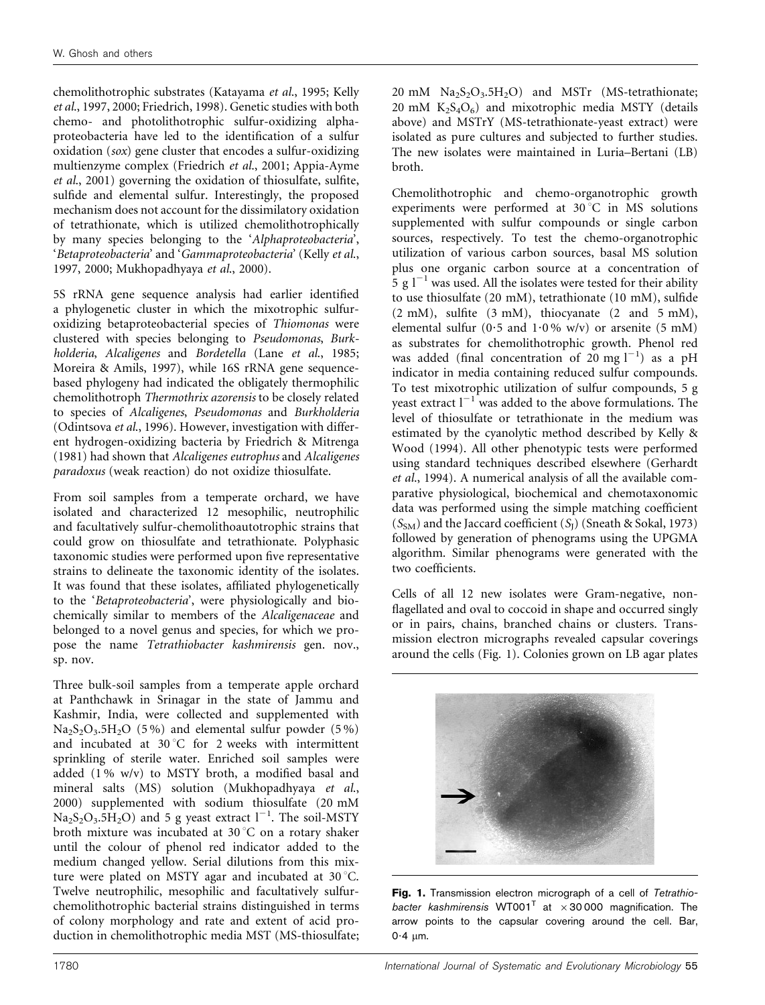chemolithotrophic substrates (Katayama et al., 1995; Kelly et al., 1997, 2000; Friedrich, 1998). Genetic studies with both chemo- and photolithotrophic sulfur-oxidizing alphaproteobacteria have led to the identification of a sulfur oxidation (sox) gene cluster that encodes a sulfur-oxidizing multienzyme complex (Friedrich et al., 2001; Appia-Ayme et al., 2001) governing the oxidation of thiosulfate, sulfite, sulfide and elemental sulfur. Interestingly, the proposed mechanism does not account for the dissimilatory oxidation of tetrathionate, which is utilized chemolithotrophically by many species belonging to the 'Alphaproteobacteria', 'Betaproteobacteria' and 'Gammaproteobacteria' (Kelly et al., 1997, 2000; Mukhopadhyaya et al., 2000).

5S rRNA gene sequence analysis had earlier identified a phylogenetic cluster in which the mixotrophic sulfuroxidizing betaproteobacterial species of Thiomonas were clustered with species belonging to Pseudomonas, Burkholderia, Alcaligenes and Bordetella (Lane et al., 1985; Moreira & Amils, 1997), while 16S rRNA gene sequencebased phylogeny had indicated the obligately thermophilic chemolithotroph Thermothrix azorensis to be closely related to species of Alcaligenes, Pseudomonas and Burkholderia (Odintsova et al., 1996). However, investigation with different hydrogen-oxidizing bacteria by Friedrich & Mitrenga (1981) had shown that Alcaligenes eutrophus and Alcaligenes paradoxus (weak reaction) do not oxidize thiosulfate.

From soil samples from a temperate orchard, we have isolated and characterized 12 mesophilic, neutrophilic and facultatively sulfur-chemolithoautotrophic strains that could grow on thiosulfate and tetrathionate. Polyphasic taxonomic studies were performed upon five representative strains to delineate the taxonomic identity of the isolates. It was found that these isolates, affiliated phylogenetically to the 'Betaproteobacteria', were physiologically and biochemically similar to members of the Alcaligenaceae and belonged to a novel genus and species, for which we propose the name Tetrathiobacter kashmirensis gen. nov., sp. nov.

Three bulk-soil samples from a temperate apple orchard at Panthchawk in Srinagar in the state of Jammu and Kashmir, India, were collected and supplemented with  $\text{Na}_2\text{S}_2\text{O}_3$ .5H<sub>2</sub>O (5 %) and elemental sulfur powder (5 %) and incubated at  $30^{\circ}$ C for 2 weeks with intermittent sprinkling of sterile water. Enriched soil samples were added (1 % w/v) to MSTY broth, a modified basal and mineral salts (MS) solution (Mukhopadhyaya et al., 2000) supplemented with sodium thiosulfate (20 mM  $Na<sub>2</sub>S<sub>2</sub>O<sub>3</sub>$ .5H<sub>2</sub>O) and 5 g yeast extract  $l^{-1}$ . The soil-MSTY broth mixture was incubated at 30 °C on a rotary shaker until the colour of phenol red indicator added to the medium changed yellow. Serial dilutions from this mixture were plated on MSTY agar and incubated at  $30^{\circ}$ C. Twelve neutrophilic, mesophilic and facultatively sulfurchemolithotrophic bacterial strains distinguished in terms of colony morphology and rate and extent of acid production in chemolithotrophic media MST (MS-thiosulfate;

20 mM  $Na<sub>2</sub>S<sub>2</sub>O<sub>3</sub>$ .5H<sub>2</sub>O) and MSTr (MS-tetrathionate; 20 mM  $K_2S_4O_6$ ) and mixotrophic media MSTY (details above) and MSTrY (MS-tetrathionate-yeast extract) were isolated as pure cultures and subjected to further studies. The new isolates were maintained in Luria–Bertani (LB) broth.

Chemolithotrophic and chemo-organotrophic growth experiments were performed at  $30^{\circ}$ C in MS solutions supplemented with sulfur compounds or single carbon sources, respectively. To test the chemo-organotrophic utilization of various carbon sources, basal MS solution plus one organic carbon source at a concentration of  $\frac{1}{5}$  g  $\frac{1}{1}$  was used. All the isolates were tested for their ability to use thiosulfate (20 mM), tetrathionate (10 mM), sulfide (2 mM), sulfite (3 mM), thiocyanate (2 and 5 mM), elemental sulfur (0.5 and  $1.0\%$  w/v) or arsenite (5 mM) as substrates for chemolithotrophic growth. Phenol red was added (final concentration of 20 mg  $1^{-1}$ ) as a pH indicator in media containing reduced sulfur compounds. To test mixotrophic utilization of sulfur compounds, 5 g yeast extract  $l^{-1}$  was added to the above formulations. The level of thiosulfate or tetrathionate in the medium was estimated by the cyanolytic method described by Kelly & Wood (1994). All other phenotypic tests were performed using standard techniques described elsewhere (Gerhardt et al., 1994). A numerical analysis of all the available comparative physiological, biochemical and chemotaxonomic data was performed using the simple matching coefficient  $(S<sub>SM</sub>)$  and the Jaccard coefficient  $(S<sub>J</sub>)$  (Sneath & Sokal, 1973) followed by generation of phenograms using the UPGMA algorithm. Similar phenograms were generated with the two coefficients.

Cells of all 12 new isolates were Gram-negative, nonflagellated and oval to coccoid in shape and occurred singly or in pairs, chains, branched chains or clusters. Transmission electron micrographs revealed capsular coverings around the cells (Fig. 1). Colonies grown on LB agar plates



Fig. 1. Transmission electron micrograph of a cell of Tetrathiobacter kashmirensis WT001<sup>T</sup> at  $\times 30\,000$  magnification. The arrow points to the capsular covering around the cell. Bar,  $0.4 \mu m$ .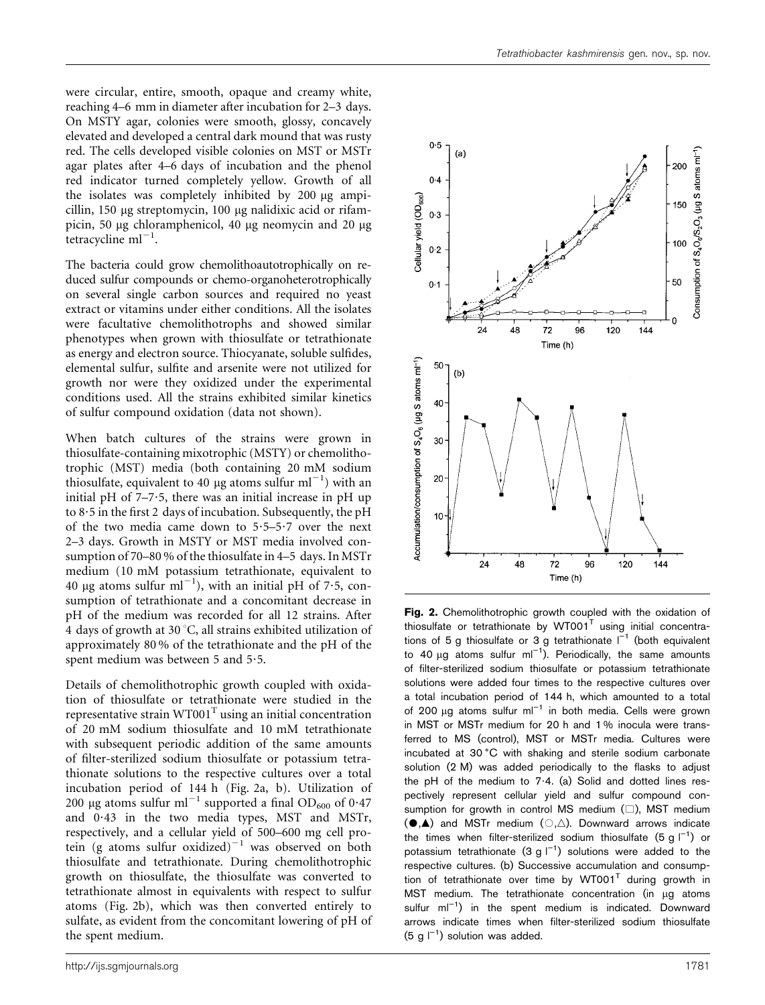were circular, entire, smooth, opaque and creamy white, reaching 4–6 mm in diameter after incubation for 2–3 days. On MSTY agar, colonies were smooth, glossy, concavely elevated and developed a central dark mound that was rusty red. The cells developed visible colonies on MST or MSTr agar plates after 4–6 days of incubation and the phenol red indicator turned completely yellow. Growth of all the isolates was completely inhibited by 200 µg ampicillin, 150 µg streptomycin, 100 µg nalidixic acid or rifampicin, 50 µg chloramphenicol, 40 µg neomycin and 20 µg tetracycline  $ml^{-1}$ .

The bacteria could grow chemolithoautotrophically on reduced sulfur compounds or chemo-organoheterotrophically on several single carbon sources and required no yeast extract or vitamins under either conditions. All the isolates were facultative chemolithotrophs and showed similar phenotypes when grown with thiosulfate or tetrathionate as energy and electron source. Thiocyanate, soluble sulfides, elemental sulfur, sulfite and arsenite were not utilized for growth nor were they oxidized under the experimental conditions used. All the strains exhibited similar kinetics of sulfur compound oxidation (data not shown).

When batch cultures of the strains were grown in thiosulfate-containing mixotrophic (MSTY) or chemolithotrophic (MST) media (both containing 20 mM sodium thiosulfate, equivalent to 40  $\mu$ g atoms sulfur ml<sup>-1</sup>) with an initial pH of  $7-7.5$ , there was an initial increase in pH up to  $8.5$  in the first 2 days of incubation. Subsequently, the  $pH$ of the two media came down to  $5.5-5.7$  over the next 2–3 days. Growth in MSTY or MST media involved consumption of 70–80 % of the thiosulfate in 4–5 days. In MSTr medium (10 mM potassium tetrathionate, equivalent to  $40 \mu$ g atoms sulfur m $I^{-1}$ ), with an initial pH of 7.5, consumption of tetrathionate and a concomitant decrease in pH of the medium was recorded for all 12 strains. After 4 days of growth at 30 $^{\circ}$ C, all strains exhibited utilization of approximately 80 % of the tetrathionate and the pH of the spent medium was between 5 and  $5.5$ .

Details of chemolithotrophic growth coupled with oxidation of thiosulfate or tetrathionate were studied in the representative strain WT001 $^{\rm T}$  using an initial concentration of 20 mM sodium thiosulfate and 10 mM tetrathionate with subsequent periodic addition of the same amounts of filter-sterilized sodium thiosulfate or potassium tetrathionate solutions to the respective cultures over a total incubation period of 144 h (Fig. 2a, b). Utilization of 200 µg atoms sulfur m<sup>-1</sup> supported a final OD<sub>600</sub> of 0.47 and 0?43 in the two media types, MST and MSTr, respectively, and a cellular yield of 500–600 mg cell protein (g atoms sulfur oxidized) $^{-1}$  was observed on both thiosulfate and tetrathionate. During chemolithotrophic growth on thiosulfate, the thiosulfate was converted to tetrathionate almost in equivalents with respect to sulfur atoms (Fig. 2b), which was then converted entirely to sulfate, as evident from the concomitant lowering of pH of the spent medium.



Fig. 2. Chemolithotrophic growth coupled with the oxidation of thiosulfate or tetrathionate by  $W\mathsf{TOO1}^\mathsf{T}$  using initial concentrations of 5 g thiosulfate or 3 g tetrathionate  $I^{-1}$  (both equivalent to 40  $\mu$ g atoms sulfur ml<sup>-1</sup>). Periodically, the same amounts of filter-sterilized sodium thiosulfate or potassium tetrathionate solutions were added four times to the respective cultures over a total incubation period of 144 h, which amounted to a total of 200 µg atoms sulfur ml<sup>-1</sup> in both media. Cells were grown in MST or MSTr medium for 20 h and 1 % inocula were transferred to MS (control), MST or MSTr media. Cultures were incubated at 30 °C with shaking and sterile sodium carbonate solution (2 M) was added periodically to the flasks to adjust the pH of the medium to  $7.4$ . (a) Solid and dotted lines respectively represent cellular yield and sulfur compound consumption for growth in control MS medium  $(\Box)$ , MST medium  $(①, ①)$  and MSTr medium  $(①, ②)$ . Downward arrows indicate the times when filter-sterilized sodium thiosulfate  $(5 g<sup>-1</sup>)$  or potassium tetrathionate  $(3 g)^{-1}$ ) solutions were added to the respective cultures. (b) Successive accumulation and consumption of tetrathionate over time by WT001<sup>T</sup> during growth in MST medium. The tetrathionate concentration (in ug atoms sulfur ml<sup>-1</sup>) in the spent medium is indicated. Downward arrows indicate times when filter-sterilized sodium thiosulfate (5 g  $I^{-1}$ ) solution was added.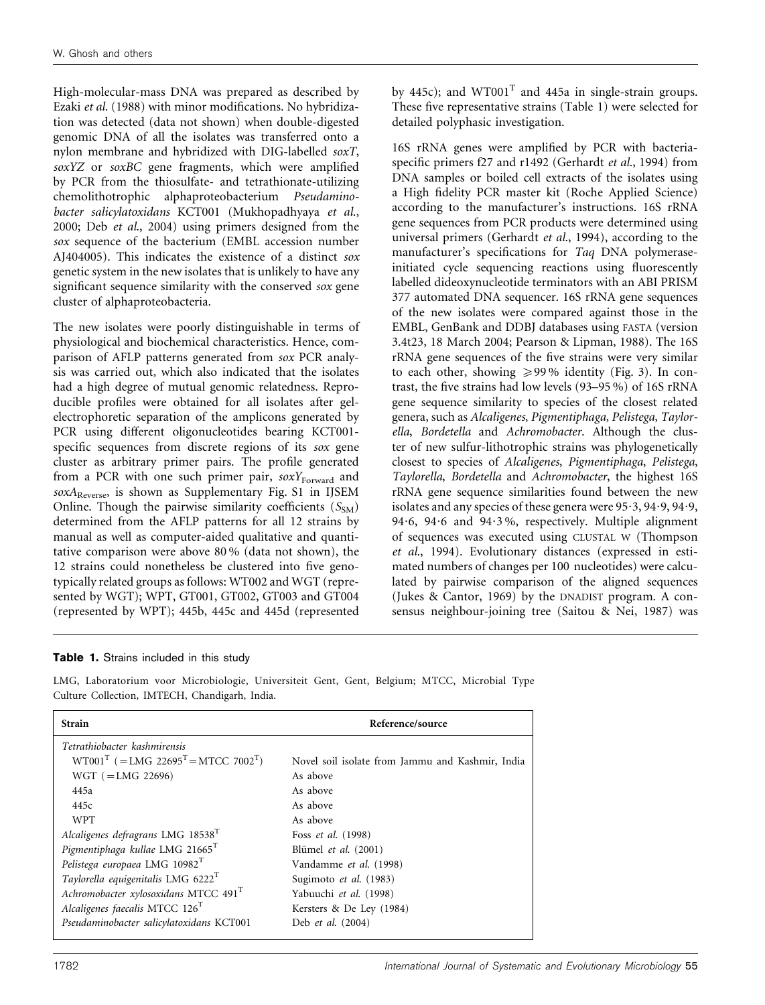High-molecular-mass DNA was prepared as described by Ezaki et al. (1988) with minor modifications. No hybridization was detected (data not shown) when double-digested genomic DNA of all the isolates was transferred onto a nylon membrane and hybridized with DIG-labelled soxT, soxYZ or soxBC gene fragments, which were amplified by PCR from the thiosulfate- and tetrathionate-utilizing chemolithotrophic alphaproteobacterium Pseudaminobacter salicylatoxidans KCT001 (Mukhopadhyaya et al., 2000; Deb et al., 2004) using primers designed from the sox sequence of the bacterium (EMBL accession number AJ404005). This indicates the existence of a distinct sox genetic system in the new isolates that is unlikely to have any significant sequence similarity with the conserved sox gene cluster of alphaproteobacteria.

The new isolates were poorly distinguishable in terms of physiological and biochemical characteristics. Hence, comparison of AFLP patterns generated from sox PCR analysis was carried out, which also indicated that the isolates had a high degree of mutual genomic relatedness. Reproducible profiles were obtained for all isolates after gelelectrophoretic separation of the amplicons generated by PCR using different oligonucleotides bearing KCT001 specific sequences from discrete regions of its sox gene cluster as arbitrary primer pairs. The profile generated from a PCR with one such primer pair,  $s\alpha Y_{\text{Forward}}$  and  $soxA_{\text{Reverse}}$ , is shown as Supplementary Fig. S1 in IJSEM Online. Though the pairwise similarity coefficients  $(S_{SM})$ determined from the AFLP patterns for all 12 strains by manual as well as computer-aided qualitative and quantitative comparison were above 80 % (data not shown), the 12 strains could nonetheless be clustered into five genotypically related groups as follows: WT002 and WGT (represented by WGT); WPT, GT001, GT002, GT003 and GT004 (represented by WPT); 445b, 445c and 445d (represented

by 445c); and WT001<sup>T</sup> and 445a in single-strain groups. These five representative strains (Table 1) were selected for detailed polyphasic investigation.

16S rRNA genes were amplified by PCR with bacteriaspecific primers f27 and r1492 (Gerhardt et al., 1994) from DNA samples or boiled cell extracts of the isolates using a High fidelity PCR master kit (Roche Applied Science) according to the manufacturer's instructions. 16S rRNA gene sequences from PCR products were determined using universal primers (Gerhardt et al., 1994), according to the manufacturer's specifications for Taq DNA polymeraseinitiated cycle sequencing reactions using fluorescently labelled dideoxynucleotide terminators with an ABI PRISM 377 automated DNA sequencer. 16S rRNA gene sequences of the new isolates were compared against those in the EMBL, GenBank and DDBJ databases using FASTA (version 3.4t23, 18 March 2004; Pearson & Lipman, 1988). The 16S rRNA gene sequences of the five strains were very similar to each other, showing  $\geq 99\%$  identity (Fig. 3). In contrast, the five strains had low levels (93–95 %) of 16S rRNA gene sequence similarity to species of the closest related genera, such as Alcaligenes, Pigmentiphaga, Pelistega, Taylorella, Bordetella and Achromobacter. Although the cluster of new sulfur-lithotrophic strains was phylogenetically closest to species of Alcaligenes, Pigmentiphaga, Pelistega, Taylorella, Bordetella and Achromobacter, the highest 16S rRNA gene sequence similarities found between the new isolates and any species of these genera were  $95.3$ ,  $94.9$ ,  $94.9$ , 94 $\cdot$ 6, 94 $\cdot$ 6 and 94 $\cdot$ 3%, respectively. Multiple alignment of sequences was executed using CLUSTAL W (Thompson et al., 1994). Evolutionary distances (expressed in estimated numbers of changes per 100 nucleotides) were calculated by pairwise comparison of the aligned sequences (Jukes & Cantor, 1969) by the DNADIST program. A consensus neighbour-joining tree (Saitou & Nei, 1987) was

#### Table 1. Strains included in this study

LMG, Laboratorium voor Microbiologie, Universiteit Gent, Gent, Belgium; MTCC, Microbial Type Culture Collection, IMTECH, Chandigarh, India.

| Strain                                                       | Reference/source                                 |  |  |  |  |  |
|--------------------------------------------------------------|--------------------------------------------------|--|--|--|--|--|
| Tetrathiobacter kashmirensis                                 |                                                  |  |  |  |  |  |
| $WT001T$ (=LMG 22695 <sup>T</sup> = MTCC 7002 <sup>T</sup> ) | Novel soil isolate from Jammu and Kashmir, India |  |  |  |  |  |
| $WGT (=LMG 22696)$                                           | As above                                         |  |  |  |  |  |
| 445a                                                         | As above                                         |  |  |  |  |  |
| 445c                                                         | As above                                         |  |  |  |  |  |
| <b>WPT</b>                                                   | As above                                         |  |  |  |  |  |
| Alcaligenes defragrans LMG 18538 <sup>T</sup>                | Foss et al. (1998)                               |  |  |  |  |  |
| Pigmentiphaga kullae LMG 21665 <sup>T</sup>                  | Blümel et al. (2001)                             |  |  |  |  |  |
| Pelistega europaea LMG 10982 <sup>T</sup>                    | Vandamme et al. (1998)                           |  |  |  |  |  |
| Taylorella equigenitalis LMG 6222 <sup>T</sup>               | Sugimoto et al. (1983)                           |  |  |  |  |  |
| Achromobacter xylosoxidans MTCC 491 <sup>T</sup>             | Yabuuchi et al. (1998)                           |  |  |  |  |  |
| Alcaligenes faecalis MTCC $126T$                             | Kersters & De Ley (1984)                         |  |  |  |  |  |
| Pseudaminobacter salicylatoxidans KCT001                     | Deb et al. (2004)                                |  |  |  |  |  |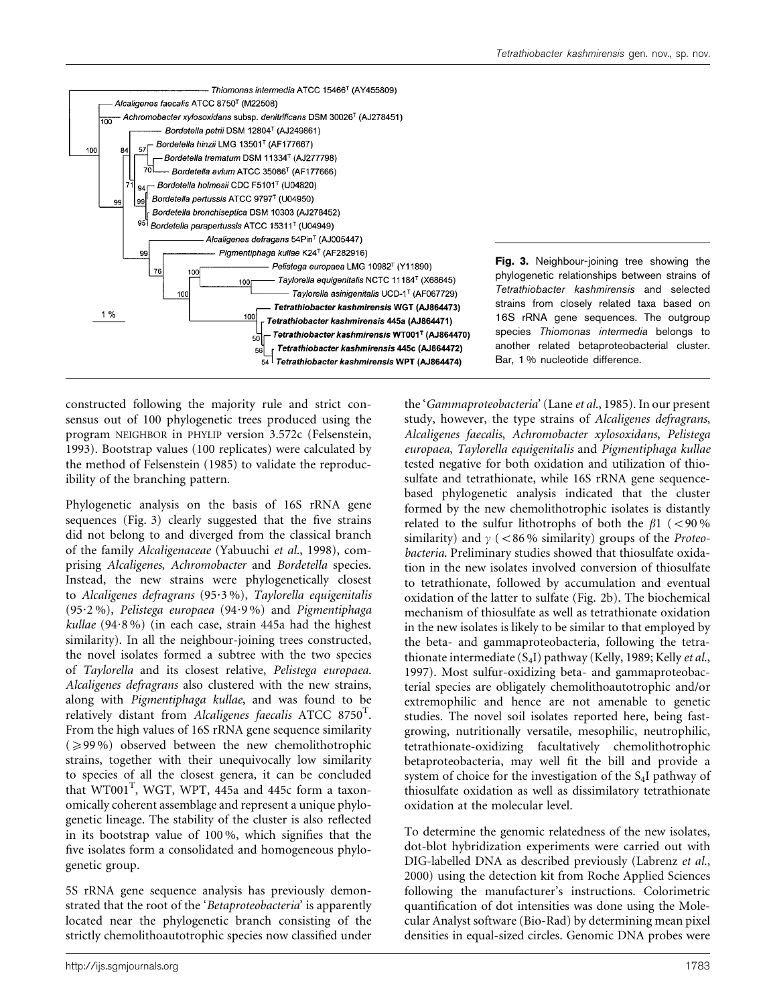

Fig. 3. Neighbour-joining tree showing the phylogenetic relationships between strains of Tetrathiobacter kashmirensis and selected strains from closely related taxa based on 16S rRNA gene sequences. The outgroup species Thiomonas intermedia belongs to another related betaproteobacterial cluster. Bar, 1 % nucleotide difference.

constructed following the majority rule and strict consensus out of 100 phylogenetic trees produced using the program NEIGHBOR in PHYLIP version 3.572c (Felsenstein, 1993). Bootstrap values (100 replicates) were calculated by the method of Felsenstein (1985) to validate the reproducibility of the branching pattern.

Phylogenetic analysis on the basis of 16S rRNA gene sequences (Fig. 3) clearly suggested that the five strains did not belong to and diverged from the classical branch of the family Alcaligenaceae (Yabuuchi et al., 1998), comprising Alcaligenes, Achromobacter and Bordetella species. Instead, the new strains were phylogenetically closest to Alcaligenes defragrans (95.3%), Taylorella equigenitalis (95?2 %), Pelistega europaea (94?9 %) and Pigmentiphaga *kullae*  $(94.8\%)$  (in each case, strain 445a had the highest similarity). In all the neighbour-joining trees constructed, the novel isolates formed a subtree with the two species of Taylorella and its closest relative, Pelistega europaea. Alcaligenes defragrans also clustered with the new strains, along with Pigmentiphaga kullae, and was found to be relatively distant from Alcaligenes faecalis ATCC 8750<sup>T</sup>. From the high values of 16S rRNA gene sequence similarity  $(\geqslant 99\%)$  observed between the new chemolithotrophic strains, together with their unequivocally low similarity to species of all the closest genera, it can be concluded that WT001<sup>T</sup>, WGT, WPT, 445a and 445c form a taxonomically coherent assemblage and represent a unique phylogenetic lineage. The stability of the cluster is also reflected in its bootstrap value of 100 %, which signifies that the five isolates form a consolidated and homogeneous phylogenetic group.

5S rRNA gene sequence analysis has previously demonstrated that the root of the 'Betaproteobacteria' is apparently located near the phylogenetic branch consisting of the strictly chemolithoautotrophic species now classified under

http://ijs.sgmjournals.org 1783

the 'Gammaproteobacteria' (Lane et al., 1985). In our present study, however, the type strains of Alcaligenes defragrans, Alcaligenes faecalis, Achromobacter xylosoxidans, Pelistega europaea, Taylorella equigenitalis and Pigmentiphaga kullae tested negative for both oxidation and utilization of thiosulfate and tetrathionate, while 16S rRNA gene sequencebased phylogenetic analysis indicated that the cluster formed by the new chemolithotrophic isolates is distantly related to the sulfur lithotrophs of both the  $\beta$ 1 (<90 % similarity) and  $\gamma$  (<86% similarity) groups of the *Proteo*bacteria. Preliminary studies showed that thiosulfate oxidation in the new isolates involved conversion of thiosulfate to tetrathionate, followed by accumulation and eventual oxidation of the latter to sulfate (Fig. 2b). The biochemical mechanism of thiosulfate as well as tetrathionate oxidation in the new isolates is likely to be similar to that employed by the beta- and gammaproteobacteria, following the tetrathionate intermediate (S<sub>4</sub>I) pathway (Kelly, 1989; Kelly *et al.*, 1997). Most sulfur-oxidizing beta- and gammaproteobacterial species are obligately chemolithoautotrophic and/or extremophilic and hence are not amenable to genetic studies. The novel soil isolates reported here, being fastgrowing, nutritionally versatile, mesophilic, neutrophilic, tetrathionate-oxidizing facultatively chemolithotrophic betaproteobacteria, may well fit the bill and provide a system of choice for the investigation of the S<sub>4</sub>I pathway of thiosulfate oxidation as well as dissimilatory tetrathionate oxidation at the molecular level.

To determine the genomic relatedness of the new isolates, dot-blot hybridization experiments were carried out with DIG-labelled DNA as described previously (Labrenz et al., 2000) using the detection kit from Roche Applied Sciences following the manufacturer's instructions. Colorimetric quantification of dot intensities was done using the Molecular Analyst software (Bio-Rad) by determining mean pixel densities in equal-sized circles. Genomic DNA probes were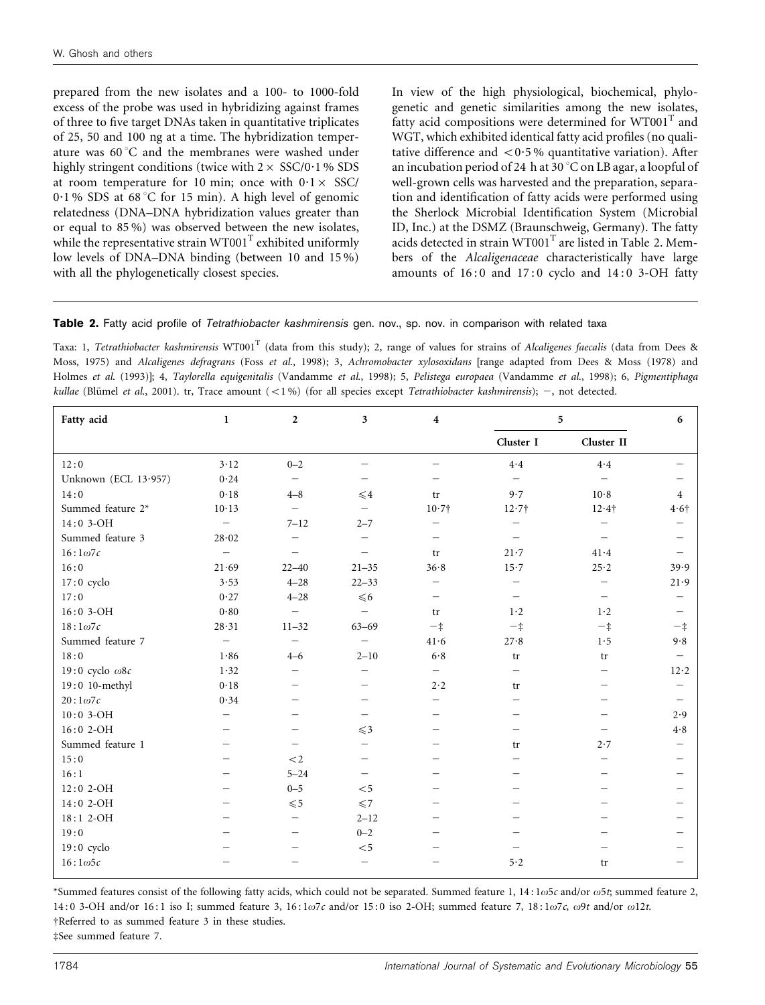prepared from the new isolates and a 100- to 1000-fold excess of the probe was used in hybridizing against frames of three to five target DNAs taken in quantitative triplicates of 25, 50 and 100 ng at a time. The hybridization temperature was  $60^{\circ}$ C and the membranes were washed under highly stringent conditions (twice with  $2 \times$  SSC/0 $\cdot$ 1 % SDS at room temperature for 10 min; once with  $0.1 \times$  SSC/  $0.1\%$  SDS at 68 °C for 15 min). A high level of genomic relatedness (DNA–DNA hybridization values greater than or equal to 85 %) was observed between the new isolates, while the representative strain  $WT001^T$  exhibited uniformly low levels of DNA–DNA binding (between 10 and 15 %) with all the phylogenetically closest species.

In view of the high physiological, biochemical, phylogenetic and genetic similarities among the new isolates, fatty acid compositions were determined for  $WT001<sup>T</sup>$  and WGT, which exhibited identical fatty acid profiles (no qualitative difference and  $< 0.5$ % quantitative variation). After an incubation period of 24 h at 30  $^{\circ}$ C on LB agar, a loopful of well-grown cells was harvested and the preparation, separation and identification of fatty acids were performed using the Sherlock Microbial Identification System (Microbial ID, Inc.) at the DSMZ (Braunschweig, Germany). The fatty acids detected in strain  $WT001<sup>T</sup>$  are listed in Table 2. Members of the Alcaligenaceae characteristically have large amounts of  $16:0$  and  $17:0$  cyclo and  $14:0$  3-OH fatty

#### Table 2. Fatty acid profile of Tetrathiobacter kashmirensis gen. nov., sp. nov. in comparison with related taxa

Taxa: 1, *Tetrathiobacter kashmirensis* WT001<sup>T</sup> (data from this study); 2, range of values for strains of *Alcaligenes faecalis* (data from Dees & Moss, 1975) and Alcaligenes defragrans (Foss et al., 1998); 3, Achromobacter xylosoxidans [range adapted from Dees & Moss (1978) and Holmes et al. (1993)]; 4, Taylorella equigenitalis (Vandamme et al., 1998); 5, Pelistega europaea (Vandamme et al., 1998); 6, Pigmentiphaga kullae (Blümel et al., 2001). tr, Trace amount  $(<1\%)$  (for all species except Tetrathiobacter kashmirensis); -, not detected.

| Fatty acid             | $\mathbf{1}$             | $\overline{2}$           | 3                        | $\overline{\mathbf{4}}$  | 5                        |                   | 6                        |
|------------------------|--------------------------|--------------------------|--------------------------|--------------------------|--------------------------|-------------------|--------------------------|
|                        |                          |                          |                          |                          | Cluster I                | Cluster II        |                          |
| 12:0                   | 3.12                     | $0 - 2$                  |                          |                          | 4.4                      | 4.4               | $\overline{\phantom{0}}$ |
| Unknown (ECL 13.957)   | 0.24                     | $\overline{\phantom{m}}$ |                          |                          | $\overline{\phantom{0}}$ | $\qquad \qquad -$ | $\overline{\phantom{0}}$ |
| 14:0                   | 0.18                     | $4 - 8$                  | ${\leqslant}4$           | tr                       | 9.7                      | $10-8$            | $\overline{4}$           |
| Summed feature 2*      | 10.13                    | $\overline{\phantom{m}}$ | $\overline{\phantom{m}}$ | $10.7$ <sup>+</sup>      | $12.7$ †                 | $12.4$ †          | $4.6$ †                  |
| 14:0 3-OH              | $\equiv$                 | $7 - 12$                 | $2 - 7$                  | $\qquad \qquad -$        | $\overline{\phantom{0}}$ |                   | $\overline{\phantom{0}}$ |
| Summed feature 3       | 28.02                    |                          |                          | $\overline{\phantom{0}}$ |                          |                   | $\overline{\phantom{0}}$ |
| $16:1\omega7c$         | $\overline{\phantom{m}}$ |                          |                          | tr                       | $21 - 7$                 | 41.4              |                          |
| 16:0                   | 21.69                    | $22 - 40$                | $21 - 35$                | 36.8                     | 15.7                     | $25 - 2$          | 39.9                     |
| 17:0 cyclo             | 3.53                     | $4 - 28$                 | $22 - 33$                | $\qquad \qquad -$        | $\overline{\phantom{0}}$ | $\qquad \qquad -$ | 21.9                     |
| 17:0                   | 0.27                     | $4 - 28$                 | ${\leqslant}6$           | $\qquad \qquad -$        | $\qquad \qquad -$        | $\qquad \qquad -$ | $\qquad \qquad -$        |
| $16:0$ 3-OH            | 0.80                     | $\qquad \qquad -$        | $\equiv$                 | tr                       | 1·2                      | $1\cdot 2$        | $\overline{\phantom{m}}$ |
| $18:1\omega7c$         | 28.31                    | $11 - 32$                | $63 - 69$                | $-\ddagger$              | $-\ddagger$              | $-\ddagger$       | $-\ddagger$              |
| Summed feature 7       | $\equiv$                 | $\overline{\phantom{m}}$ | $\equiv$                 | 41.6                     | 27.8                     | 1.5               | $9.8$                    |
| 18:0                   | $1.86$                   | $4 - 6$                  | $2 - 10$                 | 6.8                      | tr                       | tr                | $\overline{\phantom{0}}$ |
| 19:0 cyclo $\omega$ 8c | 1.32                     | $\overline{\phantom{m}}$ |                          | $\qquad \qquad -$        |                          |                   | 12.2                     |
| 19:0 10-methyl         | 0.18                     | $\overline{\phantom{0}}$ | $\overline{\phantom{0}}$ | $2 \cdot 2$              | tr                       |                   |                          |
| $20:1\omega7c$         | 0.34                     |                          |                          |                          | $\qquad \qquad$          |                   | $\overline{\phantom{m}}$ |
| $10:0$ 3-OH            | $\overline{\phantom{0}}$ |                          |                          |                          | —                        |                   | 2.9                      |
| $16:02-OH$             | $\overline{\phantom{0}}$ |                          | $\leq 3$                 |                          |                          |                   | $4\!\cdot\!8$            |
| Summed feature 1       | —                        | $\overline{\phantom{m}}$ | $\overline{\phantom{0}}$ |                          | tr                       | 2.7               | $\qquad \qquad -$        |
| 15:0                   | $\equiv$                 | $\lt 2$                  | $\overline{\phantom{0}}$ |                          |                          |                   | $\overline{\phantom{0}}$ |
| 16:1                   |                          | $5 - 24$                 | $\overline{\phantom{0}}$ |                          | $\overline{\phantom{0}}$ |                   | $\qquad \qquad -$        |
| 12:0 2-OH              |                          | $0 - 5$                  | < 5                      |                          |                          |                   |                          |
| 14:0 2-OH              |                          | $\leqslant\!5$           | ${\leq}7$                |                          |                          |                   | $\overline{\phantom{0}}$ |
| 18:1 2-OH              |                          | $\overline{\phantom{m}}$ | $2 - 12$                 |                          |                          |                   |                          |
| 19:0                   |                          | $\overline{\phantom{m}}$ | $0 - 2$                  |                          |                          |                   | $\overline{\phantom{0}}$ |
| 19:0 cyclo             |                          |                          | < 5                      |                          |                          |                   | $\overline{\phantom{0}}$ |
| $16:1\omega$ 5c        |                          |                          | $\overline{\phantom{0}}$ |                          | 5.2                      | tr                |                          |

\*Summed features consist of the following fatty acids, which could not be separated. Summed feature 1, 14:1 $\omega$ 5c and/or  $\omega$ 5t; summed feature 2, 14:0 3-OH and/or 16:1 iso I; summed feature 3, 16:1 $\omega$ 7c and/or 15:0 iso 2-OH; summed feature 7, 18:1 $\omega$ 7c,  $\omega$ 9t and/or  $\omega$ 12t. †Referred to as summed feature 3 in these studies.  $t$ See summed feature 7.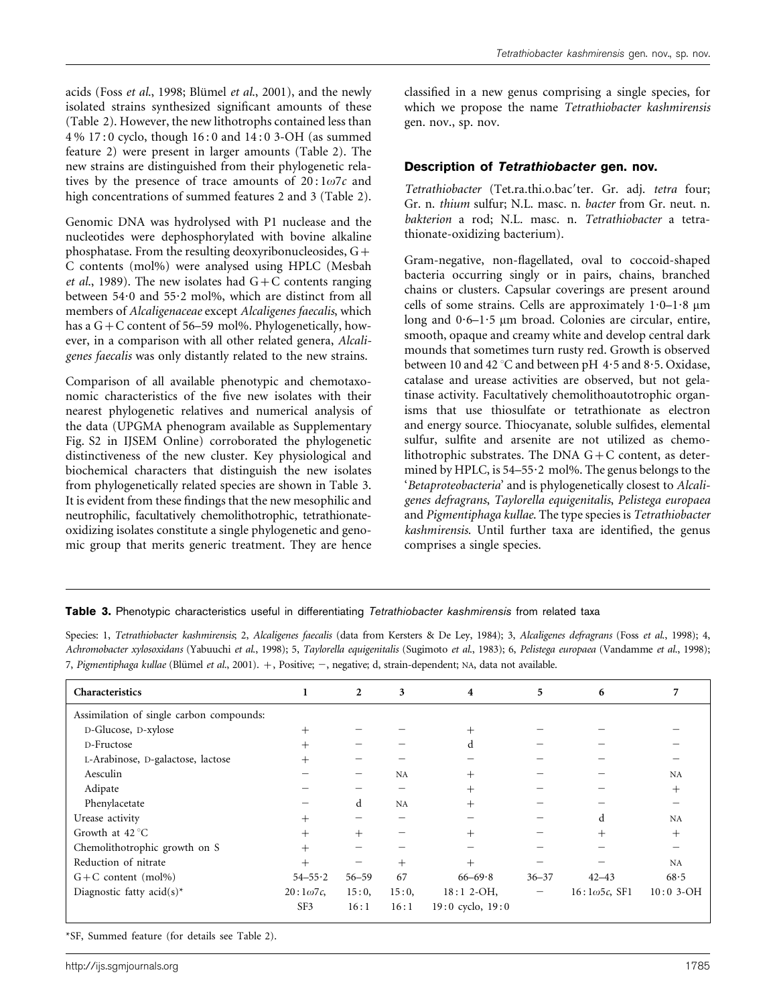acids (Foss et al., 1998; Blümel et al., 2001), and the newly isolated strains synthesized significant amounts of these (Table 2). However, the new lithotrophs contained less than 4 % 17 : 0 cyclo, though 16 : 0 and 14 : 0 3-OH (as summed feature 2) were present in larger amounts (Table 2). The new strains are distinguished from their phylogenetic relatives by the presence of trace amounts of  $20:1\omega7c$  and high concentrations of summed features 2 and 3 (Table 2).

Genomic DNA was hydrolysed with P1 nuclease and the nucleotides were dephosphorylated with bovine alkaline phosphatase. From the resulting deoxyribonucleosides,  $G+$ C contents (mol%) were analysed using HPLC (Mesbah et al., 1989). The new isolates had  $G+C$  contents ranging between 54.0 and 55.2 mol%, which are distinct from all members of Alcaligenaceae except Alcaligenes faecalis, which has a  $G + C$  content of 56–59 mol%. Phylogenetically, however, in a comparison with all other related genera, Alcaligenes faecalis was only distantly related to the new strains.

Comparison of all available phenotypic and chemotaxonomic characteristics of the five new isolates with their nearest phylogenetic relatives and numerical analysis of the data (UPGMA phenogram available as Supplementary Fig. S2 in IJSEM Online) corroborated the phylogenetic distinctiveness of the new cluster. Key physiological and biochemical characters that distinguish the new isolates from phylogenetically related species are shown in Table 3. It is evident from these findings that the new mesophilic and neutrophilic, facultatively chemolithotrophic, tetrathionateoxidizing isolates constitute a single phylogenetic and genomic group that merits generic treatment. They are hence

classified in a new genus comprising a single species, for which we propose the name Tetrathiobacter kashmirensis gen. nov., sp. nov.

## Description of Tetrathiobacter gen. nov.

Tetrathiobacter (Tet.ra.thi.o.bac'ter. Gr. adj. tetra four; Gr. n. thium sulfur; N.L. masc. n. bacter from Gr. neut. n. bakterion a rod; N.L. masc. n. Tetrathiobacter a tetrathionate-oxidizing bacterium).

Gram-negative, non-flagellated, oval to coccoid-shaped bacteria occurring singly or in pairs, chains, branched chains or clusters. Capsular coverings are present around cells of some strains. Cells are approximately  $1.0-1.8 \mu m$ long and  $0.6-1.5 \mu m$  broad. Colonies are circular, entire, smooth, opaque and creamy white and develop central dark mounds that sometimes turn rusty red. Growth is observed between 10 and 42 °C and between pH 4.5 and 8.5. Oxidase, catalase and urease activities are observed, but not gelatinase activity. Facultatively chemolithoautotrophic organisms that use thiosulfate or tetrathionate as electron and energy source. Thiocyanate, soluble sulfides, elemental sulfur, sulfite and arsenite are not utilized as chemolithotrophic substrates. The DNA  $G+C$  content, as determined by HPLC, is  $54-55.2$  mol%. The genus belongs to the 'Betaproteobacteria' and is phylogenetically closest to Alcaligenes defragrans, Taylorella equigenitalis, Pelistega europaea and Pigmentiphaga kullae. The type species is Tetrathiobacter kashmirensis. Until further taxa are identified, the genus comprises a single species.

Table 3. Phenotypic characteristics useful in differentiating Tetrathiobacter kashmirensis from related taxa

Species: 1, Tetrathiobacter kashmirensis; 2, Alcaligenes faecalis (data from Kersters & De Ley, 1984); 3, Alcaligenes defragrans (Foss et al., 1998); 4, Achromobacter xylosoxidans (Yabuuchi et al., 1998); 5, Taylorella equigenitalis (Sugimoto et al., 1983); 6, Pelistega europaea (Vandamme et al., 1998); 7, Pigmentiphaga kullae (Blümel et al., 2001). +, Positive;  $-$ , negative; d, strain-dependent; NA, data not available.

| Characteristics                          |                    | 2         | 3         | 4                    | 5                        | 6                     |             |
|------------------------------------------|--------------------|-----------|-----------|----------------------|--------------------------|-----------------------|-------------|
| Assimilation of single carbon compounds: |                    |           |           |                      |                          |                       |             |
| D-Glucose, D-xylose                      |                    |           |           |                      |                          |                       |             |
| D-Fructose                               |                    |           |           | d                    |                          |                       |             |
| L-Arabinose, D-galactose, lactose        |                    |           |           |                      |                          |                       |             |
| Aesculin                                 |                    |           | <b>NA</b> | $^{+}$               |                          |                       | <b>NA</b>   |
| Adipate                                  |                    |           |           | $^{+}$               |                          |                       | $\pm$       |
| Phenylacetate                            |                    | d         | NA        | $\pm$                |                          |                       |             |
| Urease activity                          | $^{+}$             |           |           |                      |                          | d                     | <b>NA</b>   |
| Growth at $42^{\circ}$ C                 |                    |           |           |                      |                          |                       | $^{+}$      |
| Chemolithotrophic growth on S            |                    |           |           |                      |                          |                       |             |
| Reduction of nitrate                     | $\hspace{0.1mm} +$ |           | $^{+}$    |                      |                          |                       | <b>NA</b>   |
| $G + C$ content (mol%)                   | $54 - 55 \cdot 2$  | $56 - 59$ | 67        | $66 - 69.8$          | $36 - 37$                | $42 - 43$             | 68.5        |
| Diagnostic fatty $acid(s)^*$             | $20:1\omega$ 7c,   | 15:0,     | 15:0,     | $18:1$ 2-OH,         | $\overline{\phantom{m}}$ | $16:1\omega 5c$ , SF1 | $10:0$ 3-OH |
|                                          | SF3                | 16:1      | 16:1      | $19:0$ cyclo, $19:0$ |                          |                       |             |

\*SF, Summed feature (for details see Table 2).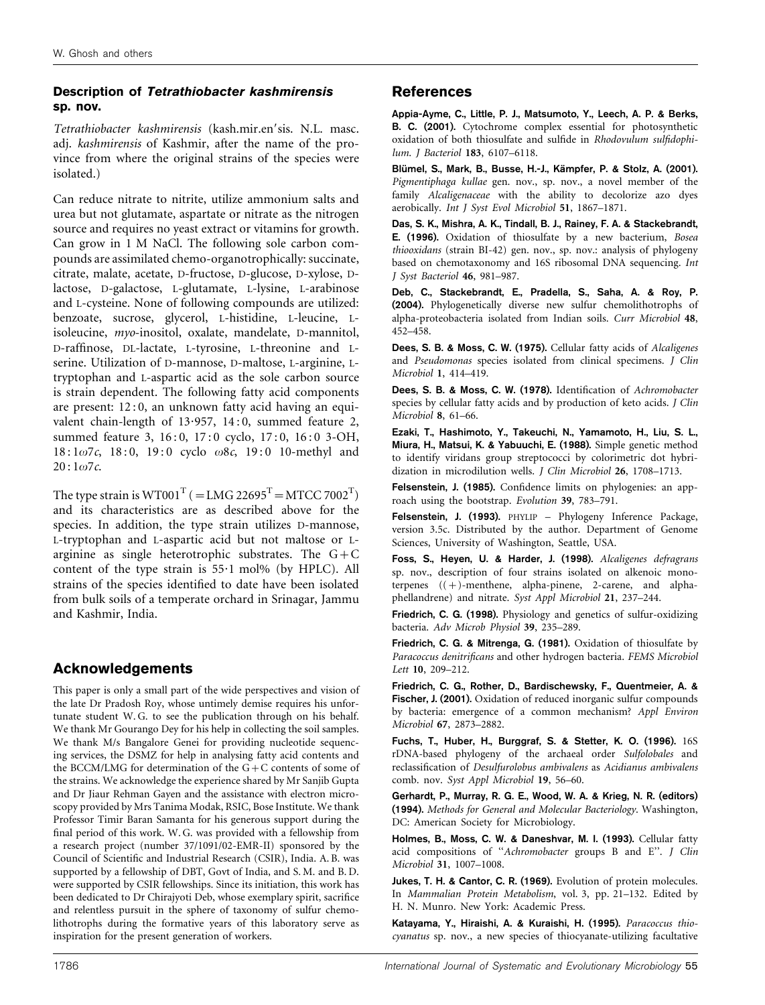## Description of Tetrathiobacter kashmirensis sp. nov.

Tetrathiobacter kashmirensis (kash.mir.en'sis. N.L. masc. adj. kashmirensis of Kashmir, after the name of the province from where the original strains of the species were isolated.)

Can reduce nitrate to nitrite, utilize ammonium salts and urea but not glutamate, aspartate or nitrate as the nitrogen source and requires no yeast extract or vitamins for growth. Can grow in 1 M NaCl. The following sole carbon compounds are assimilated chemo-organotrophically: succinate, citrate, malate, acetate, D-fructose, D-glucose, D-xylose, Dlactose, D-galactose, L-glutamate, L-lysine, L-arabinose and L-cysteine. None of following compounds are utilized: benzoate, sucrose, glycerol, L-histidine, L-leucine, Lisoleucine, myo-inositol, oxalate, mandelate, D-mannitol, D-raffinose, DL-lactate, L-tyrosine, L-threonine and Lserine. Utilization of D-mannose, D-maltose, L-arginine, Ltryptophan and L-aspartic acid as the sole carbon source is strain dependent. The following fatty acid components are present: 12 : 0, an unknown fatty acid having an equivalent chain-length of 13.957, 14:0, summed feature 2, summed feature 3, 16:0, 17:0 cyclo, 17:0, 16:0 3-OH, 18:1ω7c, 18:0, 19:0 cyclo ω8c, 19:0 10-methyl and  $20:1\omega$ 7c.

The type strain is  $W\text{T}001^\text{T}$  (  $=\text{LMG}\,22695^\text{T}\!=\!\text{MTCC}\,7002^\text{T})$ and its characteristics are as described above for the species. In addition, the type strain utilizes D-mannose, L-tryptophan and L-aspartic acid but not maltose or Larginine as single heterotrophic substrates. The  $G+C$ content of the type strain is  $55·1$  mol% (by HPLC). All strains of the species identified to date have been isolated from bulk soils of a temperate orchard in Srinagar, Jammu and Kashmir, India.

# Acknowledgements

This paper is only a small part of the wide perspectives and vision of the late Dr Pradosh Roy, whose untimely demise requires his unfortunate student W. G. to see the publication through on his behalf. We thank Mr Gourango Dey for his help in collecting the soil samples. We thank M/s Bangalore Genei for providing nucleotide sequencing services, the DSMZ for help in analysing fatty acid contents and the BCCM/LMG for determination of the  $G+C$  contents of some of the strains. We acknowledge the experience shared by Mr Sanjib Gupta and Dr Jiaur Rehman Gayen and the assistance with electron microscopy provided by Mrs Tanima Modak, RSIC, Bose Institute. We thank Professor Timir Baran Samanta for his generous support during the final period of this work. W. G. was provided with a fellowship from a research project (number 37/1091/02-EMR-II) sponsored by the Council of Scientific and Industrial Research (CSIR), India. A. B. was supported by a fellowship of DBT, Govt of India, and S. M. and B. D. were supported by CSIR fellowships. Since its initiation, this work has been dedicated to Dr Chirajyoti Deb, whose exemplary spirit, sacrifice and relentless pursuit in the sphere of taxonomy of sulfur chemolithotrophs during the formative years of this laboratory serve as inspiration for the present generation of workers.

Appia-Ayme, C., Little, P. J., Matsumoto, Y., Leech, A. P. & Berks, B. C. (2001). Cytochrome complex essential for photosynthetic oxidation of both thiosulfate and sulfide in Rhodovulum sulfidophilum. J Bacteriol 183, 6107–6118.

Blümel, S., Mark, B., Busse, H.-J., Kämpfer, P. & Stolz, A. (2001). Pigmentiphaga kullae gen. nov., sp. nov., a novel member of the family Alcaligenaceae with the ability to decolorize azo dyes aerobically. Int J Syst Evol Microbiol 51, 1867–1871.

Das, S. K., Mishra, A. K., Tindall, B. J., Rainey, F. A. & Stackebrandt, E. (1996). Oxidation of thiosulfate by a new bacterium, Bosea thiooxidans (strain BI-42) gen. nov., sp. nov.: analysis of phylogeny based on chemotaxonomy and 16S ribosomal DNA sequencing. Int J Syst Bacteriol 46, 981–987.

Deb, C., Stackebrandt, E., Pradella, S., Saha, A. & Roy, P. (2004). Phylogenetically diverse new sulfur chemolithotrophs of alpha-proteobacteria isolated from Indian soils. Curr Microbiol 48, 452–458.

Dees, S. B. & Moss, C. W. (1975). Cellular fatty acids of Alcaligenes and Pseudomonas species isolated from clinical specimens. J Clin Microbiol 1, 414–419.

Dees, S. B. & Moss, C. W. (1978). Identification of Achromobacter species by cellular fatty acids and by production of keto acids. J Clin Microbiol 8, 61–66.

Ezaki, T., Hashimoto, Y., Takeuchi, N., Yamamoto, H., Liu, S. L., Miura, H., Matsui, K. & Yabuuchi, E. (1988). Simple genetic method to identify viridans group streptococci by colorimetric dot hybridization in microdilution wells. J Clin Microbiol 26, 1708–1713.

Felsenstein, J. (1985). Confidence limits on phylogenies: an approach using the bootstrap. Evolution 39, 783–791.

Felsenstein, J. (1993). PHYLIP - Phylogeny Inference Package, version 3.5c. Distributed by the author. Department of Genome Sciences, University of Washington, Seattle, USA.

Foss, S., Heyen, U. & Harder, J. (1998). Alcaligenes defragrans sp. nov., description of four strains isolated on alkenoic monoterpenes ((+)-menthene, alpha-pinene, 2-carene, and alphaphellandrene) and nitrate. Syst Appl Microbiol 21, 237–244.

Friedrich, C. G. (1998). Physiology and genetics of sulfur-oxidizing bacteria. Adv Microb Physiol 39, 235–289.

Friedrich, C. G. & Mitrenga, G. (1981). Oxidation of thiosulfate by Paracoccus denitrificans and other hydrogen bacteria. FEMS Microbiol Lett 10, 209–212.

Friedrich, C. G., Rother, D., Bardischewsky, F., Quentmeier, A. & Fischer, J. (2001). Oxidation of reduced inorganic sulfur compounds by bacteria: emergence of a common mechanism? Appl Environ Microbiol 67, 2873–2882.

Fuchs, T., Huber, H., Burggraf, S. & Stetter, K. O. (1996). 16S rDNA-based phylogeny of the archaeal order Sulfolobales and reclassification of Desulfurolobus ambivalens as Acidianus ambivalens comb. nov. Syst Appl Microbiol 19, 56–60.

Gerhardt, P., Murray, R. G. E., Wood, W. A. & Krieg, N. R. (editors) (1994). Methods for General and Molecular Bacteriology. Washington, DC: American Society for Microbiology.

Holmes, B., Moss, C. W. & Daneshvar, M. I. (1993). Cellular fatty acid compositions of ''Achromobacter groups B and E''. J Clin Microbiol 31, 1007–1008.

Jukes, T. H. & Cantor, C. R. (1969). Evolution of protein molecules. In Mammalian Protein Metabolism, vol. 3, pp. 21–132. Edited by H. N. Munro. New York: Academic Press.

Katayama, Y., Hiraishi, A. & Kuraishi, H. (1995). Paracoccus thiocyanatus sp. nov., a new species of thiocyanate-utilizing facultative